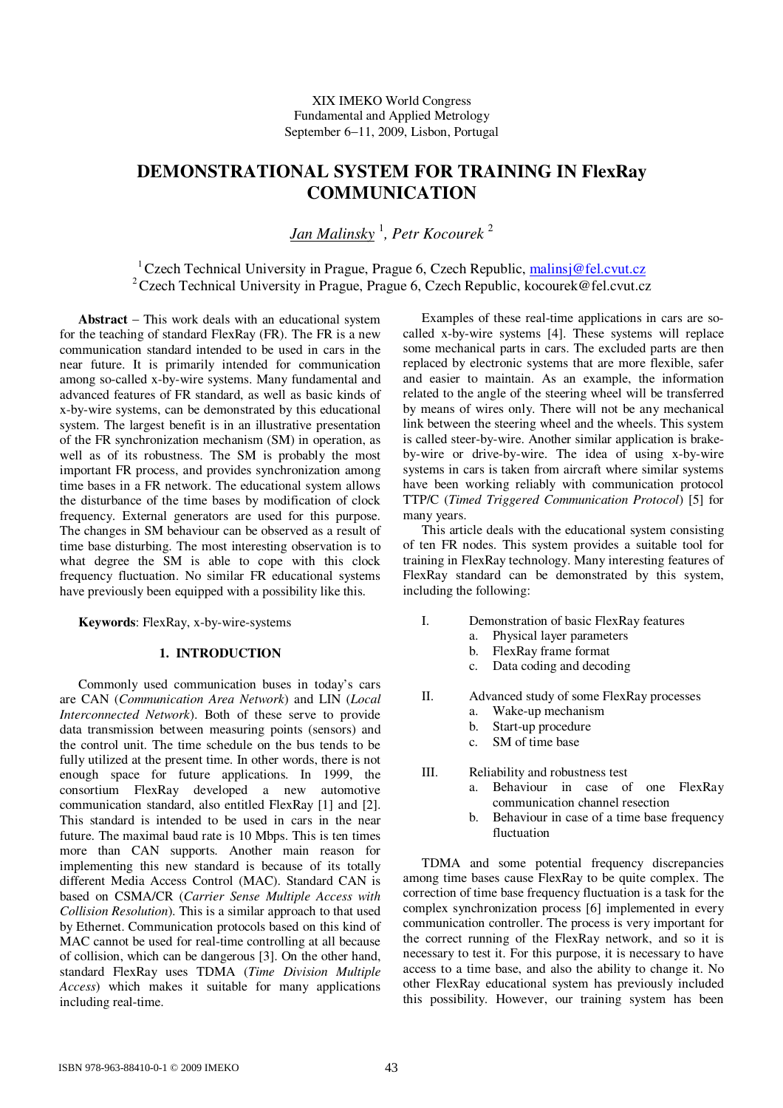# **DEMONSTRATIONAL SYSTEM FOR TRAINING IN FlexRay COMMUNICATION**

*Jan Malinsky* 1 *, Petr Kocourek* 2

<sup>1</sup> Czech Technical University in Prague, Prague 6, Czech Republic, malinsj@fel.cvut.cz <sup>2</sup>Czech Technical University in Prague, Prague 6, Czech Republic, kocourek@fel.cvut.cz

Abstract – This work deals with an educational system for the teaching of standard FlexRay (FR). The FR is a new communication standard intended to be used in cars in the near future. It is primarily intended for communication among so-called x-by-wire systems. Many fundamental and advanced features of FR standard, as well as basic kinds of x-by-wire systems, can be demonstrated by this educational system. The largest benefit is in an illustrative presentation of the FR synchronization mechanism (SM) in operation, as well as of its robustness. The SM is probably the most important FR process, and provides synchronization among time bases in a FR network. The educational system allows the disturbance of the time bases by modification of clock frequency. External generators are used for this purpose. The changes in SM behaviour can be observed as a result of time base disturbing. The most interesting observation is to what degree the SM is able to cope with this clock frequency fluctuation. No similar FR educational systems have previously been equipped with a possibility like this.

**Keywords**: FlexRay, x-by-wire-systems

# **1. INTRODUCTION**

Commonly used communication buses in today's cars are CAN (*Communication Area Network*) and LIN (*Local Interconnected Network*). Both of these serve to provide data transmission between measuring points (sensors) and the control unit. The time schedule on the bus tends to be fully utilized at the present time. In other words, there is not enough space for future applications. In 1999, the consortium FlexRay developed a new automotive communication standard, also entitled FlexRay [1] and [2]. This standard is intended to be used in cars in the near future. The maximal baud rate is 10 Mbps. This is ten times more than CAN supports. Another main reason for implementing this new standard is because of its totally different Media Access Control (MAC). Standard CAN is based on CSMA/CR (*Carrier Sense Multiple Access with Collision Resolution*). This is a similar approach to that used by Ethernet. Communication protocols based on this kind of MAC cannot be used for real-time controlling at all because of collision, which can be dangerous [3]. On the other hand, standard FlexRay uses TDMA (*Time Division Multiple Access*) which makes it suitable for many applications including real-time.

Examples of these real-time applications in cars are socalled x-by-wire systems [4]. These systems will replace some mechanical parts in cars. The excluded parts are then replaced by electronic systems that are more flexible, safer and easier to maintain. As an example, the information related to the angle of the steering wheel will be transferred by means of wires only. There will not be any mechanical link between the steering wheel and the wheels. This system is called steer-by-wire. Another similar application is brakeby-wire or drive-by-wire. The idea of using x-by-wire systems in cars is taken from aircraft where similar systems have been working reliably with communication protocol TTP/C (*Timed Triggered Communication Protocol*) [5] for many years.

This article deals with the educational system consisting of ten FR nodes. This system provides a suitable tool for training in FlexRay technology. Many interesting features of FlexRay standard can be demonstrated by this system, including the following:

- I. Demonstration of basic FlexRay features
	- a. Physical layer parameters
		- b. FlexRay frame format
		- c. Data coding and decoding
- II. Advanced study of some FlexRay processes
	- a. Wake-up mechanism
	- b. Start-up procedure
	- c. SM of time base
- III. Reliability and robustness test
	- a. Behaviour in case of one FlexRay communication channel resection
	- b. Behaviour in case of a time base frequency fluctuation

TDMA and some potential frequency discrepancies among time bases cause FlexRay to be quite complex. The correction of time base frequency fluctuation is a task for the complex synchronization process [6] implemented in every communication controller. The process is very important for the correct running of the FlexRay network, and so it is necessary to test it. For this purpose, it is necessary to have access to a time base, and also the ability to change it. No other FlexRay educational system has previously included this possibility. However, our training system has been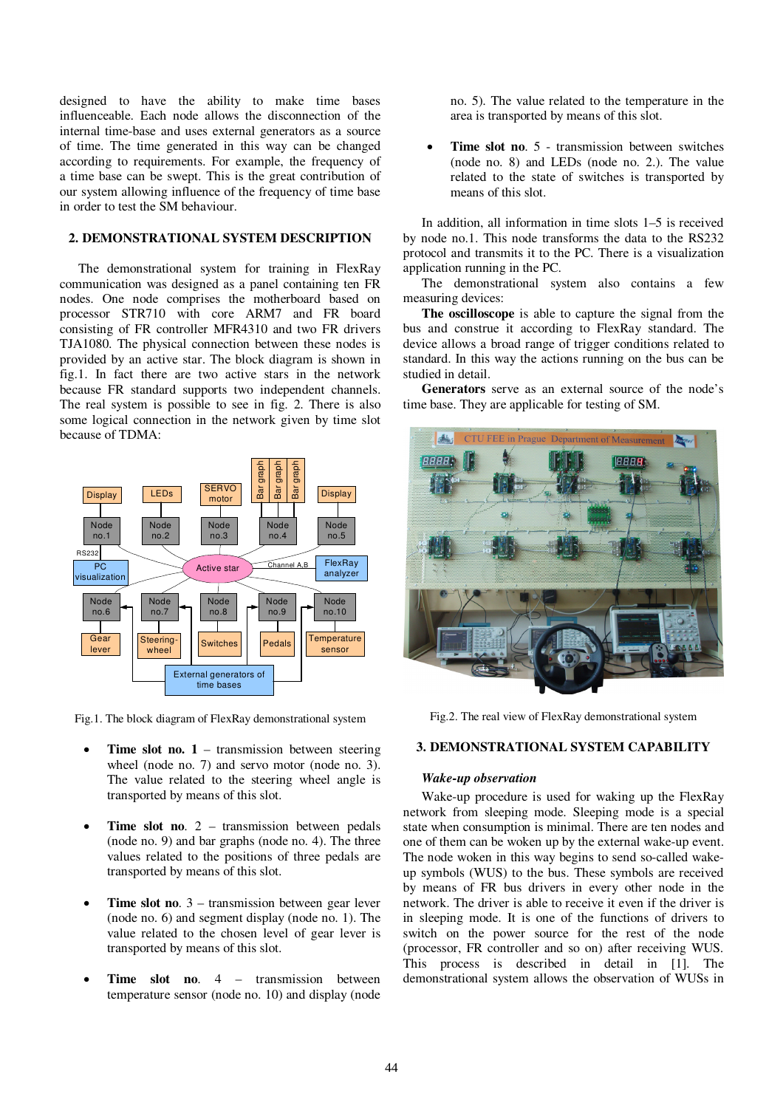designed to have the ability to make time bases influenceable. Each node allows the disconnection of the internal time-base and uses external generators as a source of time. The time generated in this way can be changed according to requirements. For example, the frequency of a time base can be swept. This is the great contribution of our system allowing influence of the frequency of time base in order to test the SM behaviour.

# **2. DEMONSTRATIONAL SYSTEM DESCRIPTION**

The demonstrational system for training in FlexRay communication was designed as a panel containing ten FR nodes. One node comprises the motherboard based on processor STR710 with core ARM7 and FR board consisting of FR controller MFR4310 and two FR drivers TJA1080. The physical connection between these nodes is provided by an active star. The block diagram is shown in fig.1. In fact there are two active stars in the network because FR standard supports two independent channels. The real system is possible to see in fig. 2. There is also some logical connection in the network given by time slot because of TDMA:



Fig.1. The block diagram of FlexRay demonstrational system

- $\bullet$  **Time slot no. 1** – transmission between steering wheel (node no. 7) and servo motor (node no. 3). The value related to the steering wheel angle is transported by means of this slot.
- $\bullet$  **Time slot no**. 2 – transmission between pedals (node no. 9) and bar graphs (node no. 4). The three values related to the positions of three pedals are transported by means of this slot.
- $\bullet$  **Time slot no**. 3 – transmission between gear lever (node no. 6) and segment display (node no. 1). The value related to the chosen level of gear lever is transported by means of this slot.
- $\bullet$  **Time slot no**. 4 – transmission between temperature sensor (node no. 10) and display (node

no. 5). The value related to the temperature in the area is transported by means of this slot.

 $\bullet$  **Time slot no**. 5 - transmission between switches (node no. 8) and LEDs (node no. 2.). The value related to the state of switches is transported by means of this slot.

In addition, all information in time slots 1–5 is received by node no.1. This node transforms the data to the RS232 protocol and transmits it to the PC. There is a visualization application running in the PC.

The demonstrational system also contains a few measuring devices:

**The oscilloscope** is able to capture the signal from the bus and construe it according to FlexRay standard. The device allows a broad range of trigger conditions related to standard. In this way the actions running on the bus can be studied in detail.

**Generators** serve as an external source of the node's time base. They are applicable for testing of SM.



Fig.2. The real view of FlexRay demonstrational system

# **3. DEMONSTRATIONAL SYSTEM CAPABILITY**

# *Wake-up observation*

Wake-up procedure is used for waking up the FlexRay network from sleeping mode. Sleeping mode is a special state when consumption is minimal. There are ten nodes and one of them can be woken up by the external wake-up event. The node woken in this way begins to send so-called wakeup symbols (WUS) to the bus. These symbols are received by means of FR bus drivers in every other node in the network. The driver is able to receive it even if the driver is in sleeping mode. It is one of the functions of drivers to switch on the power source for the rest of the node (processor, FR controller and so on) after receiving WUS. This process is described in detail in [1]. The demonstrational system allows the observation of WUSs in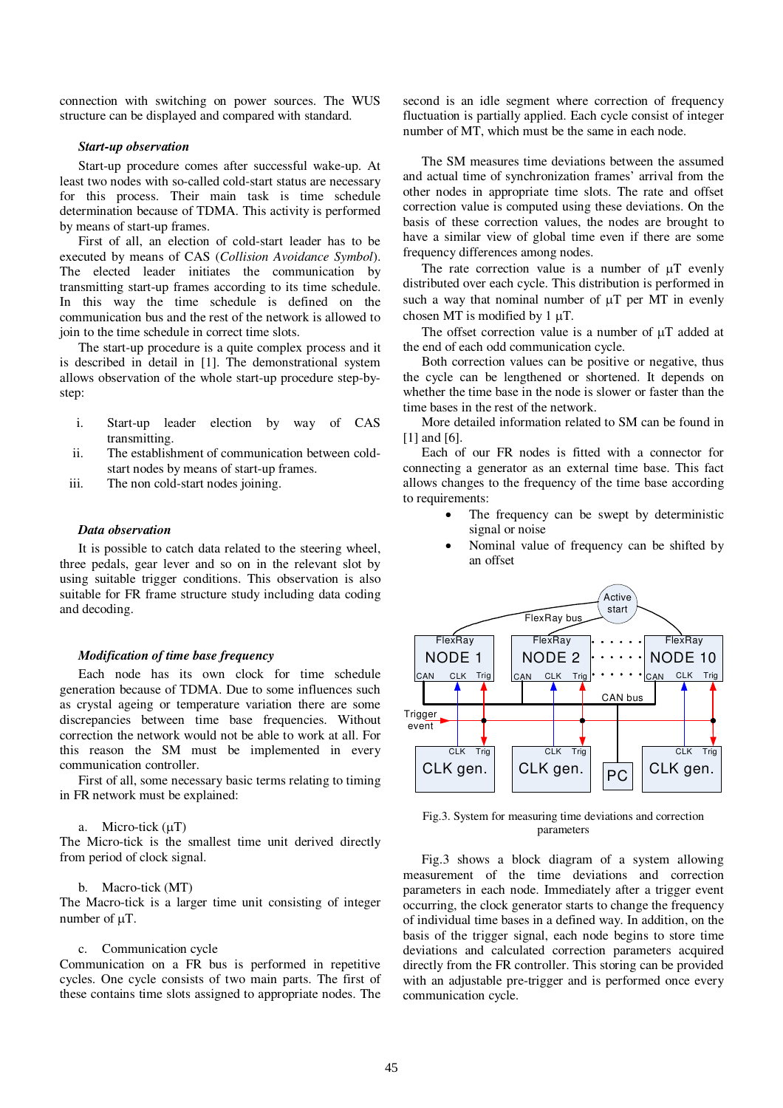connection with switching on power sources. The WUS structure can be displayed and compared with standard.

### *Start-up observation*

Start-up procedure comes after successful wake-up. At least two nodes with so-called cold-start status are necessary for this process. Their main task is time schedule determination because of TDMA. This activity is performed by means of start-up frames.

First of all, an election of cold-start leader has to be executed by means of CAS (*Collision Avoidance Symbol*). The elected leader initiates the communication by transmitting start-up frames according to its time schedule. In this way the time schedule is defined on the communication bus and the rest of the network is allowed to join to the time schedule in correct time slots.

The start-up procedure is a quite complex process and it is described in detail in [1]. The demonstrational system allows observation of the whole start-up procedure step-bystep:

- i. Start-up leader election by way of CAS transmitting.
- ii. The establishment of communication between coldstart nodes by means of start-up frames.
- iii. The non cold-start nodes joining.

### *Data observation*

It is possible to catch data related to the steering wheel, three pedals, gear lever and so on in the relevant slot by using suitable trigger conditions. This observation is also suitable for FR frame structure study including data coding and decoding.

## *Modification of time base frequency*

Each node has its own clock for time schedule generation because of TDMA. Due to some influences such as crystal ageing or temperature variation there are some discrepancies between time base frequencies. Without correction the network would not be able to work at all. For this reason the SM must be implemented in every communication controller.

First of all, some necessary basic terms relating to timing in FR network must be explained:

### a. Micro-tick  $(\mu T)$

The Micro-tick is the smallest time unit derived directly from period of clock signal.

### b. Macro-tick (MT)

The Macro-tick is a larger time unit consisting of integer number of  $\mu$ T.

# c. Communication cycle

Communication on a FR bus is performed in repetitive cycles. One cycle consists of two main parts. The first of these contains time slots assigned to appropriate nodes. The

second is an idle segment where correction of frequency fluctuation is partially applied. Each cycle consist of integer number of MT, which must be the same in each node.

The SM measures time deviations between the assumed and actual time of synchronization frames' arrival from the other nodes in appropriate time slots. The rate and offset correction value is computed using these deviations. On the basis of these correction values, the nodes are brought to have a similar view of global time even if there are some frequency differences among nodes.

The rate correction value is a number of  $\mu$ T evenly distributed over each cycle. This distribution is performed in such a way that nominal number of  $\mu$ T per MT in evenly chosen MT is modified by  $1 \mu T$ .

The offset correction value is a number of  $\mu$ T added at the end of each odd communication cycle.

Both correction values can be positive or negative, thus the cycle can be lengthened or shortened. It depends on whether the time base in the node is slower or faster than the time bases in the rest of the network.

More detailed information related to SM can be found in [1] and [6].

Each of our FR nodes is fitted with a connector for connecting a generator as an external time base. This fact allows changes to the frequency of the time base according to requirements:

- $\bullet$  The frequency can be swept by deterministic signal or noise
- $\bullet$  Nominal value of frequency can be shifted by an offset



Fig.3. System for measuring time deviations and correction parameters

Fig.3 shows a block diagram of a system allowing measurement of the time deviations and correction parameters in each node. Immediately after a trigger event occurring, the clock generator starts to change the frequency of individual time bases in a defined way. In addition, on the basis of the trigger signal, each node begins to store time deviations and calculated correction parameters acquired directly from the FR controller. This storing can be provided with an adjustable pre-trigger and is performed once every communication cycle.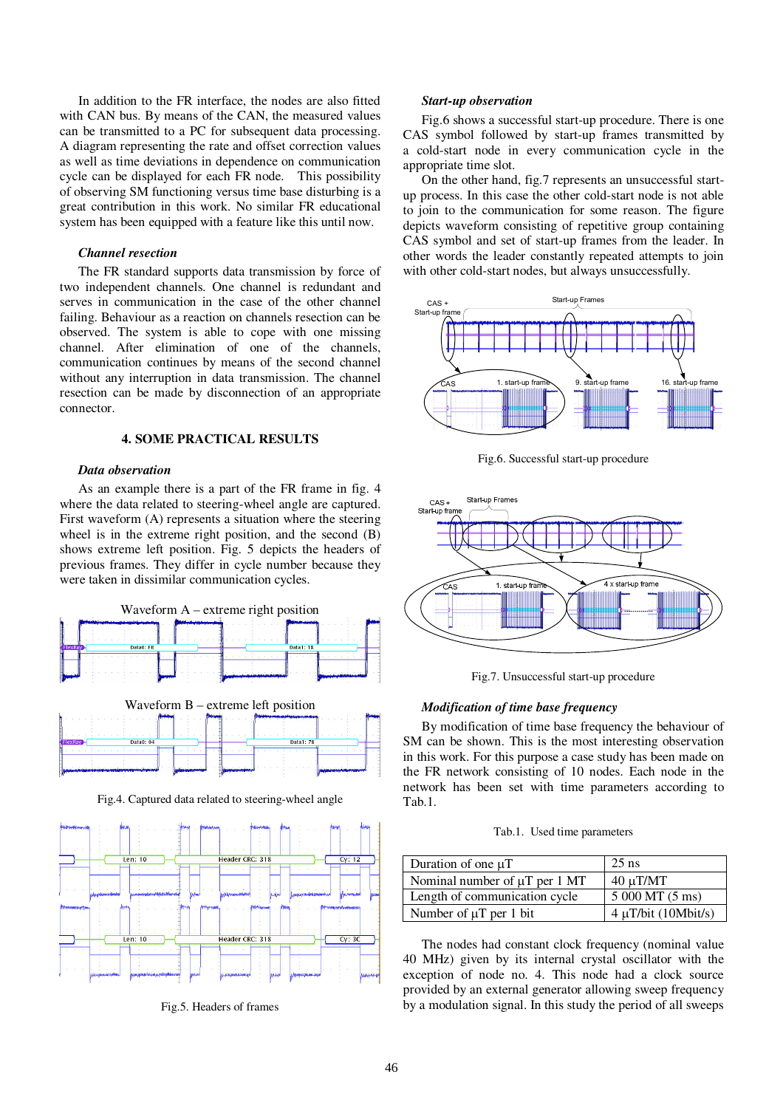In addition to the FR interface, the nodes are also fitted with CAN bus. By means of the CAN, the measured values can be transmitted to a PC for subsequent data processing. A diagram representing the rate and offset correction values as well as time deviations in dependence on communication cycle can be displayed for each FR node. This possibility of observing SM functioning versus time base disturbing is a great contribution in this work. No similar FR educational system has been equipped with a feature like this until now.

# *Channel resection*

The FR standard supports data transmission by force of two independent channels. One channel is redundant and serves in communication in the case of the other channel failing. Behaviour as a reaction on channels resection can be observed. The system is able to cope with one missing channel. After elimination of one of the channels, communication continues by means of the second channel without any interruption in data transmission. The channel resection can be made by disconnection of an appropriate connector.

# **4. SOME PRACTICAL RESULTS**

# *Data observation*

As an example there is a part of the FR frame in fig. 4 where the data related to steering-wheel angle are captured. First waveform (A) represents a situation where the steering wheel is in the extreme right position, and the second (B) shows extreme left position. Fig. 5 depicts the headers of previous frames. They differ in cycle number because they were taken in dissimilar communication cycles.



Fig.4. Captured data related to steering-wheel angle



Fig.5. Headers of frames

#### *Start-up observation*

Fig.6 shows a successful start-up procedure. There is one CAS symbol followed by start-up frames transmitted by a cold-start node in every communication cycle in the appropriate time slot.

On the other hand, fig.7 represents an unsuccessful startup process. In this case the other cold-start node is not able to join to the communication for some reason. The figure depicts waveform consisting of repetitive group containing CAS symbol and set of start-up frames from the leader. In other words the leader constantly repeated attempts to join with other cold-start nodes, but always unsuccessfully.



Fig.6. Successful start-up procedure



Fig.7. Unsuccessful start-up procedure

### *Modification of time base frequency*

By modification of time base frequency the behaviour of SM can be shown. This is the most interesting observation in this work. For this purpose a case study has been made on the FR network consisting of 10 nodes. Each node in the network has been set with time parameters according to Tab.1.

| Tab.1. Used time parameters |  |  |
|-----------------------------|--|--|
|-----------------------------|--|--|

| Duration of one $\mu$ T            | $25$ ns                   |
|------------------------------------|---------------------------|
| Nominal number of $\mu T$ per 1 MT | $40 \mu T/MT$             |
| Length of communication cycle      | 5 000 MT (5 ms)           |
| Number of $\mu T$ per 1 bit        | $4 \mu T/b$ it (10Mbit/s) |

The nodes had constant clock frequency (nominal value 40 MHz) given by its internal crystal oscillator with the exception of node no. 4. This node had a clock source provided by an external generator allowing sweep frequency by a modulation signal. In this study the period of all sweeps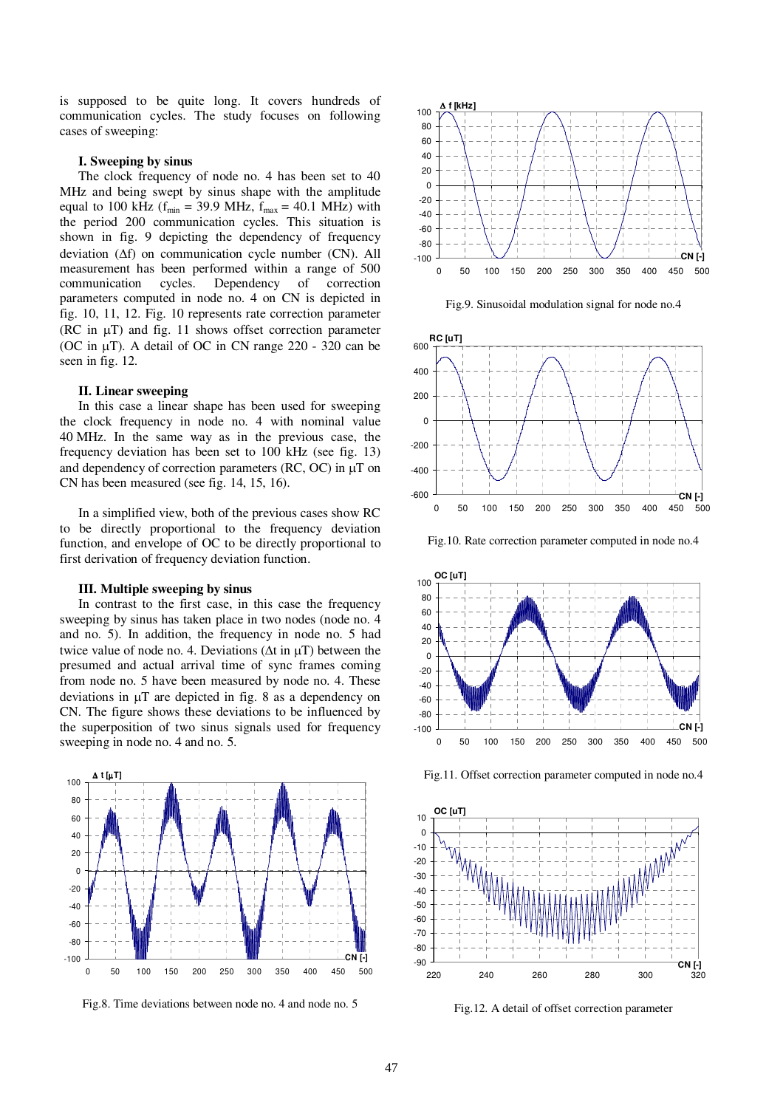is supposed to be quite long. It covers hundreds of communication cycles. The study focuses on following cases of sweeping:

### **I. Sweeping by sinus**

The clock frequency of node no. 4 has been set to 40 MHz and being swept by sinus shape with the amplitude equal to 100 kHz ( $f_{min}$  = 39.9 MHz,  $f_{max}$  = 40.1 MHz) with the period 200 communication cycles. This situation is shown in fig. 9 depicting the dependency of frequency deviation  $(\Delta f)$  on communication cycle number (CN). All measurement has been performed within a range of 500 communication cycles. Dependency of correction parameters computed in node no. 4 on CN is depicted in fig. 10, 11, 12. Fig. 10 represents rate correction parameter (RC in  $\mu$ T) and fig. 11 shows offset correction parameter (OC in  $\mu$ T). A detail of OC in CN range 220 - 320 can be seen in fig. 12.

### **II. Linear sweeping**

In this case a linear shape has been used for sweeping the clock frequency in node no. 4 with nominal value 40 MHz. In the same way as in the previous case, the frequency deviation has been set to 100 kHz (see fig. 13) and dependency of correction parameters  $(RC, OC)$  in  $\mu$ T on CN has been measured (see fig. 14, 15, 16).

In a simplified view, both of the previous cases show RC to be directly proportional to the frequency deviation function, and envelope of OC to be directly proportional to first derivation of frequency deviation function.

### **III. Multiple sweeping by sinus**

In contrast to the first case, in this case the frequency sweeping by sinus has taken place in two nodes (node no. 4 and no. 5). In addition, the frequency in node no. 5 had twice value of node no. 4. Deviations ( $\Delta t$  in  $\mu$ T) between the presumed and actual arrival time of sync frames coming from node no. 5 have been measured by node no. 4. These deviations in  $\mu$ T are depicted in fig. 8 as a dependency on CN. The figure shows these deviations to be influenced by the superposition of two sinus signals used for frequency sweeping in node no. 4 and no. 5.



Fig.8. Time deviations between node no. 4 and node no. 5



Fig.9. Sinusoidal modulation signal for node no.4



Fig.10. Rate correction parameter computed in node no.4



Fig.11. Offset correction parameter computed in node no.4



Fig.12. A detail of offset correction parameter